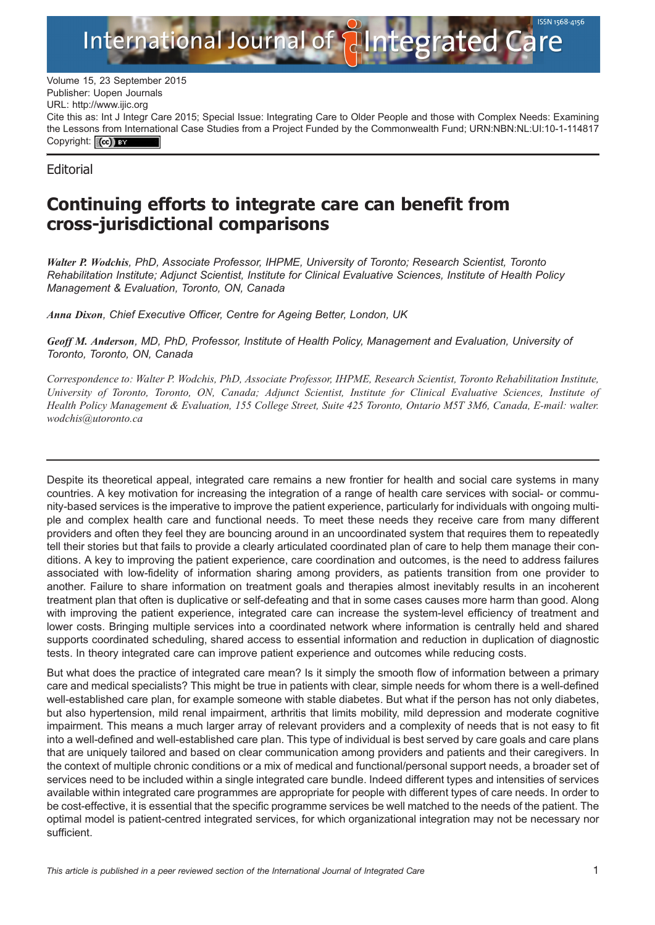

Volume 15, 23 September 2015 Publisher: Uopen Journals URL:<http://www.ijic.org> Cite this as: Int J Integr Care 2015; Special Issue: Integrating Care to Older People and those with Complex Needs: Examining the Lessons from International Case Studies from a Project Funded by the Commonwealth Fund; [URN:NBN:NL:UI:10-1-114817](http://persistent-identifier.nl/?identifier=URN:NBN:NL:UI:10-1-114817) Copyright: (cc) BY

**Editorial** 

## Continuing efforts to integrate care can benefit from cross-jurisdictional comparisons

Walter P. Wodchis, PhD, Associate Professor, IHPME, University of Toronto; Research Scientist, Toronto Rehabilitation Institute; Adjunct Scientist, Institute for Clinical Evaluative Sciences, Institute of Health Policy Management & Evaluation, Toronto, ON, Canada

Anna Dixon, Chief Executive Officer, Centre for Ageing Better, London, UK

Geoff M. Anderson, MD, PhD, Professor, Institute of Health Policy, Management and Evaluation, University of Toronto, Toronto, ON, Canada

Correspondence to: Walter P. Wodchis, PhD, Associate Professor, IHPME, Research Scientist, Toronto Rehabilitation Institute, University of Toronto, Toronto, ON, Canada; Adjunct Scientist, Institute for Clinical Evaluative Sciences, Institute of Health Policy Management & Evaluation, 155 College Street, Suite 425 Toronto, Ontario M5T 3M6, Canada, E-mail: walter. wodchis@utoronto.ca

Despite its theoretical appeal, integrated care remains a new frontier for health and social care systems in many countries. A key motivation for increasing the integration of a range of health care services with social- or community-based services is the imperative to improve the patient experience, particularly for individuals with ongoing multiple and complex health care and functional needs. To meet these needs they receive care from many different providers and often they feel they are bouncing around in an uncoordinated system that requires them to repeatedly tell their stories but that fails to provide a clearly articulated coordinated plan of care to help them manage their conditions. A key to improving the patient experience, care coordination and outcomes, is the need to address failures associated with low-fidelity of information sharing among providers, as patients transition from one provider to another. Failure to share information on treatment goals and therapies almost inevitably results in an incoherent treatment plan that often is duplicative or self-defeating and that in some cases causes more harm than good. Along with improving the patient experience, integrated care can increase the system-level efficiency of treatment and lower costs. Bringing multiple services into a coordinated network where information is centrally held and shared supports coordinated scheduling, shared access to essential information and reduction in duplication of diagnostic tests. In theory integrated care can improve patient experience and outcomes while reducing costs.

But what does the practice of integrated care mean? Is it simply the smooth flow of information between a primary care and medical specialists? This might be true in patients with clear, simple needs for whom there is a well-defined well-established care plan, for example someone with stable diabetes. But what if the person has not only diabetes, but also hypertension, mild renal impairment, arthritis that limits mobility, mild depression and moderate cognitive impairment. This means a much larger array of relevant providers and a complexity of needs that is not easy to fit into a well-defined and well-established care plan. This type of individual is best served by care goals and care plans that are uniquely tailored and based on clear communication among providers and patients and their caregivers. In the context of multiple chronic conditions or a mix of medical and functional/personal support needs, a broader set of services need to be included within a single integrated care bundle. Indeed different types and intensities of services available within integrated care programmes are appropriate for people with different types of care needs. In order to be cost-effective, it is essential that the specific programme services be well matched to the needs of the patient. The optimal model is patient-centred integrated services, for which organizational integration may not be necessary nor sufficient.